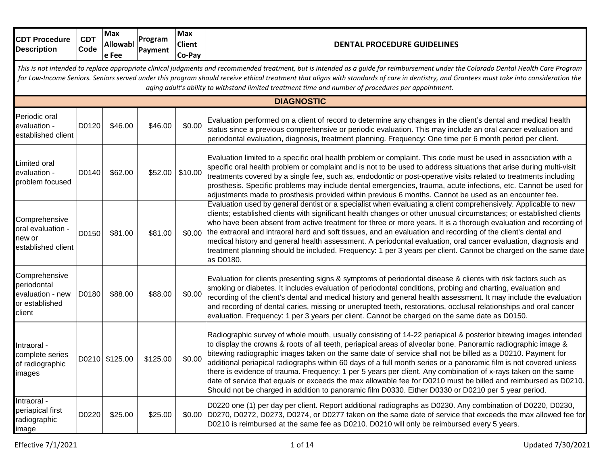| <b>CDT Procedure</b><br><b>Description</b>                                   | <b>CDT</b><br><b>Code</b>                                                                                                                                                                                                                                                                                                                                                                                                                                                                | <b>Max</b><br>Allowabl<br>e Fee | Program<br>Payment | <b>Max</b><br><b>Client</b><br>Co-Pay | <b>DENTAL PROCEDURE GUIDELINES</b>                                                                                                                                                                                                                                                                                                                                                                                                                                                                                                                                                                                                                                                                                                                                                                            |  |  |  |  |  |
|------------------------------------------------------------------------------|------------------------------------------------------------------------------------------------------------------------------------------------------------------------------------------------------------------------------------------------------------------------------------------------------------------------------------------------------------------------------------------------------------------------------------------------------------------------------------------|---------------------------------|--------------------|---------------------------------------|---------------------------------------------------------------------------------------------------------------------------------------------------------------------------------------------------------------------------------------------------------------------------------------------------------------------------------------------------------------------------------------------------------------------------------------------------------------------------------------------------------------------------------------------------------------------------------------------------------------------------------------------------------------------------------------------------------------------------------------------------------------------------------------------------------------|--|--|--|--|--|
|                                                                              | This is not intended to replace appropriate clinical judgments and recommended treatment, but is intended as a guide for reimbursement under the Colorado Dental Health Care Program<br>for Low-Income Seniors. Seniors served under this program should receive ethical treatment that aligns with standards of care in dentistry, and Grantees must take into consideration the<br>aging adult's ability to withstand limited treatment time and number of procedures per appointment. |                                 |                    |                                       |                                                                                                                                                                                                                                                                                                                                                                                                                                                                                                                                                                                                                                                                                                                                                                                                               |  |  |  |  |  |
| <b>DIAGNOSTIC</b>                                                            |                                                                                                                                                                                                                                                                                                                                                                                                                                                                                          |                                 |                    |                                       |                                                                                                                                                                                                                                                                                                                                                                                                                                                                                                                                                                                                                                                                                                                                                                                                               |  |  |  |  |  |
| Periodic oral<br>evaluation -<br>established client                          | D0120                                                                                                                                                                                                                                                                                                                                                                                                                                                                                    | \$46.00                         | \$46.00            | \$0.00                                | Evaluation performed on a client of record to determine any changes in the client's dental and medical health<br>status since a previous comprehensive or periodic evaluation. This may include an oral cancer evaluation and<br>periodontal evaluation, diagnosis, treatment planning. Frequency: One time per 6 month period per client.                                                                                                                                                                                                                                                                                                                                                                                                                                                                    |  |  |  |  |  |
| Limited oral<br>evaluation -<br>problem focused                              | D0140                                                                                                                                                                                                                                                                                                                                                                                                                                                                                    | \$62.00                         | \$52.00            | \$10.00                               | Evaluation limited to a specific oral health problem or complaint. This code must be used in association with a<br>specific oral health problem or complaint and is not to be used to address situations that arise during multi-visit<br>treatments covered by a single fee, such as, endodontic or post-operative visits related to treatments including<br>prosthesis. Specific problems may include dental emergencies, trauma, acute infections, etc. Cannot be used for<br>adjustments made to prosthesis provided within previous 6 months. Cannot be used as an encounter fee.                                                                                                                                                                                                                        |  |  |  |  |  |
| Comprehensive<br>oral evaluation -<br>new or<br>established client           | D0150                                                                                                                                                                                                                                                                                                                                                                                                                                                                                    | \$81.00                         | \$81.00            |                                       | Evaluation used by general dentist or a specialist when evaluating a client comprehensively. Applicable to new<br>clients; established clients with significant health changes or other unusual circumstances; or established clients<br>who have been absent from active treatment for three or more years. It is a thorough evaluation and recording of<br>\$0.00 the extraoral and intraoral hard and soft tissues, and an evaluation and recording of the client's dental and<br>medical history and general health assessment. A periodontal evaluation, oral cancer evaluation, diagnosis and<br>treatment planning should be included. Frequency: 1 per 3 years per client. Cannot be charged on the same date<br>as D0180.                                                                            |  |  |  |  |  |
| Comprehensive<br>periodontal<br>evaluation - new<br>or established<br>client | D0180                                                                                                                                                                                                                                                                                                                                                                                                                                                                                    | \$88.00                         | \$88.00            | \$0.00                                | Evaluation for clients presenting signs & symptoms of periodontal disease & clients with risk factors such as<br>smoking or diabetes. It includes evaluation of periodontal conditions, probing and charting, evaluation and<br>recording of the client's dental and medical history and general health assessment. It may include the evaluation<br>and recording of dental caries, missing or unerupted teeth, restorations, occlusal relationships and oral cancer<br>evaluation. Frequency: 1 per 3 years per client. Cannot be charged on the same date as D0150.                                                                                                                                                                                                                                        |  |  |  |  |  |
| Intraoral -<br>complete series<br>of radiographic<br>images                  |                                                                                                                                                                                                                                                                                                                                                                                                                                                                                          | D0210 \$125.00                  | \$125.00           | \$0.00                                | Radiographic survey of whole mouth, usually consisting of 14-22 periapical & posterior bitewing images intended<br>to display the crowns & roots of all teeth, periapical areas of alveolar bone. Panoramic radiographic image &<br>bitewing radiographic images taken on the same date of service shall not be billed as a D0210. Payment for<br>additional periapical radiographs within 60 days of a full month series or a panoramic film is not covered unless<br>there is evidence of trauma. Frequency: 1 per 5 years per client. Any combination of x-rays taken on the same<br>date of service that equals or exceeds the max allowable fee for D0210 must be billed and reimbursed as D0210.<br>Should not be charged in addition to panoramic film D0330. Either D0330 or D0210 per 5 year period. |  |  |  |  |  |
| Intraoral -<br>periapical first<br>radiographic<br>image                     | D0220                                                                                                                                                                                                                                                                                                                                                                                                                                                                                    | \$25.00                         | \$25.00            |                                       | D0220 one (1) per day per client. Report additional radiographs as D0230. Any combination of D0220, D0230,<br>\$0.00 D0270, D0272, D0273, D0274, or D0277 taken on the same date of service that exceeds the max allowed fee for<br>D0210 is reimbursed at the same fee as D0210. D0210 will only be reimbursed every 5 years.                                                                                                                                                                                                                                                                                                                                                                                                                                                                                |  |  |  |  |  |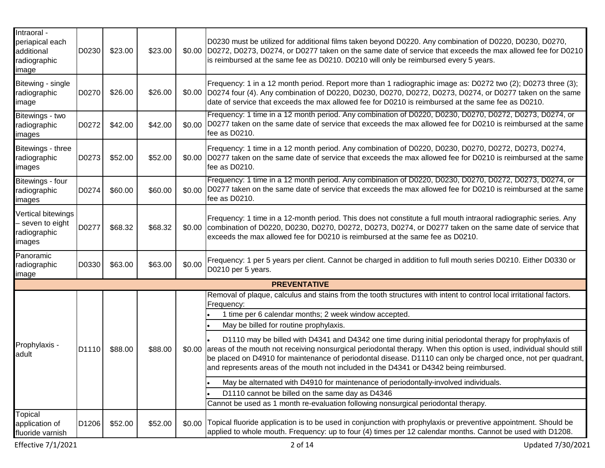| Intraoral -<br>periapical each<br>additional<br>radiographic<br>image | D0230 | \$23.00 | \$23.00 |        | D0230 must be utilized for additional films taken beyond D0220. Any combination of D0220, D0230, D0270,<br>\$0.00 D0272, D0273, D0274, or D0277 taken on the same date of service that exceeds the max allowed fee for D0210<br>is reimbursed at the same fee as D0210. D0210 will only be reimbursed every 5 years.                                                                                                                            |
|-----------------------------------------------------------------------|-------|---------|---------|--------|-------------------------------------------------------------------------------------------------------------------------------------------------------------------------------------------------------------------------------------------------------------------------------------------------------------------------------------------------------------------------------------------------------------------------------------------------|
| Bitewing - single<br>radiographic<br>image                            | D0270 | \$26.00 | \$26.00 |        | Frequency: 1 in a 12 month period. Report more than 1 radiographic image as: D0272 two (2); D0273 three (3);<br>\$0.00 D0274 four (4). Any combination of D0220, D0230, D0270, D0272, D0273, D0274, or D0277 taken on the same<br>date of service that exceeds the max allowed fee for D0210 is reimbursed at the same fee as D0210.                                                                                                            |
| Bitewings - two<br>radiographic<br>images                             | D0272 | \$42.00 | \$42.00 |        | Frequency: 1 time in a 12 month period. Any combination of D0220, D0230, D0270, D0272, D0273, D0274, or<br>\$0.00 D0277 taken on the same date of service that exceeds the max allowed fee for D0210 is reimbursed at the same<br>fee as D0210.                                                                                                                                                                                                 |
| Bitewings - three<br>radiographic<br>images                           | D0273 | \$52.00 | \$52.00 |        | Frequency: 1 time in a 12 month period. Any combination of D0220, D0230, D0270, D0272, D0273, D0274,<br>\$0.00 D0277 taken on the same date of service that exceeds the max allowed fee for D0210 is reimbursed at the same<br>fee as D0210.                                                                                                                                                                                                    |
| Bitewings - four<br>radiographic<br>images                            | D0274 | \$60.00 | \$60.00 | \$0.00 | Frequency: 1 time in a 12 month period. Any combination of D0220, D0230, D0270, D0272, D0273, D0274, or<br>D0277 taken on the same date of service that exceeds the max allowed fee for D0210 is reimbursed at the same<br>fee as D0210.                                                                                                                                                                                                        |
| Vertical bitewings<br>seven to eight<br>radiographic<br>images        | D0277 | \$68.32 | \$68.32 | \$0.00 | Frequency: 1 time in a 12-month period. This does not constitute a full mouth intraoral radiographic series. Any<br>combination of D0220, D0230, D0270, D0272, D0273, D0274, or D0277 taken on the same date of service that<br>exceeds the max allowed fee for D0210 is reimbursed at the same fee as D0210.                                                                                                                                   |
| Panoramic<br>radiographic<br>image                                    | D0330 | \$63.00 | \$63.00 | \$0.00 | Frequency: 1 per 5 years per client. Cannot be charged in addition to full mouth series D0210. Either D0330 or<br>D0210 per 5 years.                                                                                                                                                                                                                                                                                                            |
|                                                                       |       |         |         |        | <b>PREVENTATIVE</b>                                                                                                                                                                                                                                                                                                                                                                                                                             |
|                                                                       |       |         |         |        | Removal of plaque, calculus and stains from the tooth structures with intent to control local irritational factors.<br>Frequency:                                                                                                                                                                                                                                                                                                               |
|                                                                       |       |         |         |        | 1 time per 6 calendar months; 2 week window accepted.                                                                                                                                                                                                                                                                                                                                                                                           |
|                                                                       |       |         |         |        | May be billed for routine prophylaxis.                                                                                                                                                                                                                                                                                                                                                                                                          |
| Prophylaxis -<br>adult                                                | D1110 | \$88.00 | \$88.00 |        | D1110 may be billed with D4341 and D4342 one time during initial periodontal therapy for prophylaxis of<br>\$0.00 areas of the mouth not receiving nonsurgical periodontal therapy. When this option is used, individual should still<br>be placed on D4910 for maintenance of periodontal disease. D1110 can only be charged once, not per quadrant,<br>and represents areas of the mouth not included in the D4341 or D4342 being reimbursed. |
|                                                                       |       |         |         |        | May be alternated with D4910 for maintenance of periodontally-involved individuals.                                                                                                                                                                                                                                                                                                                                                             |
|                                                                       |       |         |         |        | D1110 cannot be billed on the same day as D4346                                                                                                                                                                                                                                                                                                                                                                                                 |
|                                                                       |       |         |         |        | Cannot be used as 1 month re-evaluation following nonsurgical periodontal therapy.                                                                                                                                                                                                                                                                                                                                                              |
| Topical<br>application of<br>fluoride varnish                         | D1206 | \$52.00 | \$52.00 |        | \$0.00 Topical fluoride application is to be used in conjunction with prophylaxis or preventive appointment. Should be<br>applied to whole mouth. Frequency: up to four (4) times per 12 calendar months. Cannot be used with D1208.                                                                                                                                                                                                            |
| <b>Effective 7/1/2021</b>                                             |       |         |         |        | 2 of 14<br>Updated 7/30/2021                                                                                                                                                                                                                                                                                                                                                                                                                    |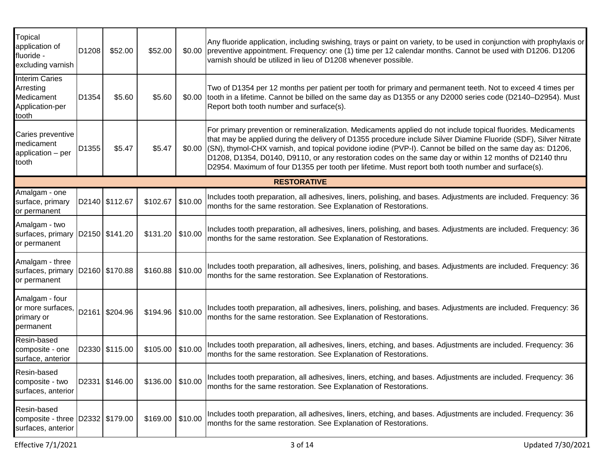| Topical<br>application of<br>fluoride -<br>excluding varnish                 | D1208 | \$52.00        | \$52.00  |         | Any fluoride application, including swishing, trays or paint on variety, to be used in conjunction with prophylaxis or<br>\$0.00 preventive appointment. Frequency: one (1) time per 12 calendar months. Cannot be used with D1206. D1206<br>varnish should be utilized in lieu of D1208 whenever possible.                                                                                                                                                                                                                                                             |
|------------------------------------------------------------------------------|-------|----------------|----------|---------|-------------------------------------------------------------------------------------------------------------------------------------------------------------------------------------------------------------------------------------------------------------------------------------------------------------------------------------------------------------------------------------------------------------------------------------------------------------------------------------------------------------------------------------------------------------------------|
| <b>Interim Caries</b><br>Arresting<br>Medicament<br>Application-per<br>tooth | D1354 | \$5.60         | \$5.60   |         | Two of D1354 per 12 months per patient per tooth for primary and permanent teeth. Not to exceed 4 times per<br>\$0.00 tooth in a lifetime. Cannot be billed on the same day as D1355 or any D2000 series code (D2140-D2954). Must<br>Report both tooth number and surface(s).                                                                                                                                                                                                                                                                                           |
| Caries preventive<br>medicament<br>application - per<br>tooth                | D1355 | \$5.47         | \$5.47   |         | For primary prevention or remineralization. Medicaments applied do not include topical fluorides. Medicaments<br>that may be applied during the delivery of D1355 procedure include Silver Diamine Fluoride (SDF), Silver Nitrate<br>\$0.00 ((SN), thymol-CHX varnish, and topical povidone iodine (PVP-I). Cannot be billed on the same day as: D1206,<br>D1208, D1354, D0140, D9110, or any restoration codes on the same day or within 12 months of D2140 thru<br>D2954. Maximum of four D1355 per tooth per lifetime. Must report both tooth number and surface(s). |
|                                                                              |       |                |          |         | <b>RESTORATIVE</b>                                                                                                                                                                                                                                                                                                                                                                                                                                                                                                                                                      |
| Amalgam - one<br>surface, primary<br>or permanent                            |       | D2140 \$112.67 | \$102.67 | \$10.00 | Includes tooth preparation, all adhesives, liners, polishing, and bases. Adjustments are included. Frequency: 36<br>months for the same restoration. See Explanation of Restorations.                                                                                                                                                                                                                                                                                                                                                                                   |
| Amalgam - two<br>surfaces, primary D2150 \$141.20<br>or permanent            |       |                | \$131.20 | \$10.00 | Includes tooth preparation, all adhesives, liners, polishing, and bases. Adjustments are included. Frequency: 36<br>months for the same restoration. See Explanation of Restorations.                                                                                                                                                                                                                                                                                                                                                                                   |
| Amalgam - three<br>surfaces, primary D2160 \$170.88<br>or permanent          |       |                | \$160.88 | \$10.00 | Includes tooth preparation, all adhesives, liners, polishing, and bases. Adjustments are included. Frequency: 36<br>months for the same restoration. See Explanation of Restorations.                                                                                                                                                                                                                                                                                                                                                                                   |
| Amalgam - four<br>or more surfaces,<br>primary or<br>permanent               |       | D2161 \$204.96 | \$194.96 | \$10.00 | Includes tooth preparation, all adhesives, liners, polishing, and bases. Adjustments are included. Frequency: 36<br>months for the same restoration. See Explanation of Restorations.                                                                                                                                                                                                                                                                                                                                                                                   |
| Resin-based<br>composite - one<br>surface, anterior                          |       | D2330 \$115.00 | \$105.00 | \$10.00 | Includes tooth preparation, all adhesives, liners, etching, and bases. Adjustments are included. Frequency: 36<br>months for the same restoration. See Explanation of Restorations.                                                                                                                                                                                                                                                                                                                                                                                     |
| Resin-based<br>composite - two<br>surfaces, anterior                         |       | D2331 \$146.00 | \$136.00 | \$10.00 | Includes tooth preparation, all adhesives, liners, etching, and bases. Adjustments are included. Frequency: 36<br>months for the same restoration. See Explanation of Restorations.                                                                                                                                                                                                                                                                                                                                                                                     |
| Resin-based<br>composite - three D2332 \$179.00<br>surfaces, anterior        |       |                | \$169.00 | \$10.00 | Includes tooth preparation, all adhesives, liners, etching, and bases. Adjustments are included. Frequency: 36<br>months for the same restoration. See Explanation of Restorations.                                                                                                                                                                                                                                                                                                                                                                                     |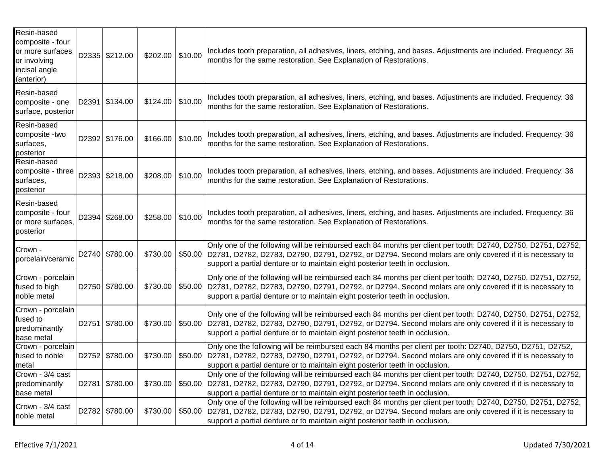| Resin-based<br>composite - four<br>or more surfaces<br>or involving<br>incisal angle<br>(anterior) | D2335 \$212.00 | \$202.00 | \$10.00 | Includes tooth preparation, all adhesives, liners, etching, and bases. Adjustments are included. Frequency: 36<br>months for the same restoration. See Explanation of Restorations.                                                                                                                               |
|----------------------------------------------------------------------------------------------------|----------------|----------|---------|-------------------------------------------------------------------------------------------------------------------------------------------------------------------------------------------------------------------------------------------------------------------------------------------------------------------|
| Resin-based<br>composite - one<br>surface, posterior                                               | D2391 \$134.00 | \$124.00 | \$10.00 | Includes tooth preparation, all adhesives, liners, etching, and bases. Adjustments are included. Frequency: 36<br>months for the same restoration. See Explanation of Restorations.                                                                                                                               |
| Resin-based<br>composite -two<br>surfaces,<br>posterior                                            | D2392 \$176.00 | \$166.00 | \$10.00 | Includes tooth preparation, all adhesives, liners, etching, and bases. Adjustments are included. Frequency: 36<br>months for the same restoration. See Explanation of Restorations.                                                                                                                               |
| Resin-based<br>composite - three<br>surfaces,<br>posterior                                         | D2393 \$218.00 | \$208.00 | \$10.00 | Includes tooth preparation, all adhesives, liners, etching, and bases. Adjustments are included. Frequency: 36<br>months for the same restoration. See Explanation of Restorations.                                                                                                                               |
| Resin-based<br>composite - four<br>or more surfaces,<br>posterior                                  | D2394 \$268.00 | \$258.00 | \$10.00 | Includes tooth preparation, all adhesives, liners, etching, and bases. Adjustments are included. Frequency: 36<br>months for the same restoration. See Explanation of Restorations.                                                                                                                               |
| Crown -<br>porcelain/ceramic                                                                       | D2740 \$780.00 | \$730.00 |         | Only one of the following will be reimbursed each 84 months per client per tooth: D2740, D2750, D2751, D2752,<br>\$50.00 D2781, D2782, D2783, D2790, D2791, D2792, or D2794. Second molars are only covered if it is necessary to<br>support a partial denture or to maintain eight posterior teeth in occlusion. |
| Crown - porcelain<br>fused to high<br>noble metal                                                  | D2750 \$780.00 | \$730.00 |         | Only one of the following will be reimbursed each 84 months per client per tooth: D2740, D2750, D2751, D2752,<br>\$50.00 D2781, D2782, D2783, D2790, D2791, D2792, or D2794. Second molars are only covered if it is necessary to<br>support a partial denture or to maintain eight posterior teeth in occlusion. |
| Crown - porcelain<br>fused to<br>predominantly                                                     | D2751 \$780.00 | \$730.00 | \$50.00 | Only one of the following will be reimbursed each 84 months per client per tooth: D2740, D2750, D2751, D2752,<br>D2781, D2782, D2783, D2790, D2791, D2792, or D2794. Second molars are only covered if it is necessary to<br>support a partial denture or to maintain eight posterior teeth in occlusion.         |
| base metal<br>Crown - porcelain<br>fused to noble<br>metal                                         | D2752 \$780.00 | \$730.00 | \$50.00 | Only one the following will be reimbursed each 84 months per client per tooth: D2740, D2750, D2751, D2752,<br>D2781, D2782, D2783, D2790, D2791, D2792, or D2794. Second molars are only covered if it is necessary to<br>support a partial denture or to maintain eight posterior teeth in occlusion.            |
| Crown - 3/4 cast<br>predominantly<br>base metal                                                    | D2781 \$780.00 | \$730.00 |         | Only one of the following will be reimbursed each 84 months per client per tooth: D2740, D2750, D2751, D2752,<br>\$50.00 D2781, D2782, D2783, D2790, D2791, D2792, or D2794. Second molars are only covered if it is necessary to<br>support a partial denture or to maintain eight posterior teeth in occlusion. |
| Crown - 3/4 cast<br>noble metal                                                                    | D2782 \$780.00 | \$730.00 |         | Only one of the following will be reimbursed each 84 months per client per tooth: D2740, D2750, D2751, D2752,<br>\$50.00 D2781, D2782, D2783, D2790, D2791, D2792, or D2794. Second molars are only covered if it is necessary to<br>support a partial denture or to maintain eight posterior teeth in occlusion. |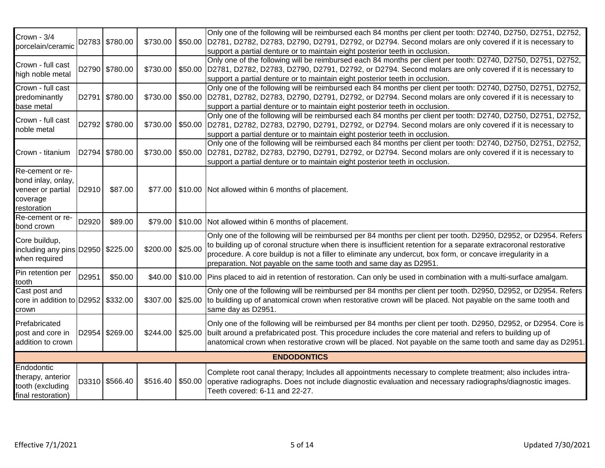| Crown - 3/4<br>porcelain/ceramic                                                       |       | D2783 \$780.00 | \$730.00 |         | Only one of the following will be reimbursed each 84 months per client per tooth: D2740, D2750, D2751, D2752,<br>\$50.00 D2781, D2782, D2783, D2790, D2791, D2792, or D2794. Second molars are only covered if it is necessary to<br>support a partial denture or to maintain eight posterior teeth in occlusion.                                                                                                       |
|----------------------------------------------------------------------------------------|-------|----------------|----------|---------|-------------------------------------------------------------------------------------------------------------------------------------------------------------------------------------------------------------------------------------------------------------------------------------------------------------------------------------------------------------------------------------------------------------------------|
| Crown - full cast<br>high noble metal                                                  |       | D2790 \$780.00 | \$730.00 |         | Only one of the following will be reimbursed each 84 months per client per tooth: D2740, D2750, D2751, D2752,<br>\$50.00 D2781, D2782, D2783, D2790, D2791, D2792, or D2794. Second molars are only covered if it is necessary to<br>support a partial denture or to maintain eight posterior teeth in occlusion.                                                                                                       |
| Crown - full cast<br>predominantly<br>base metal                                       |       | D2791 \$780.00 | \$730.00 |         | Only one of the following will be reimbursed each 84 months per client per tooth: D2740, D2750, D2751, D2752,<br>\$50.00 D2781, D2782, D2783, D2790, D2791, D2792, or D2794. Second molars are only covered if it is necessary to<br>support a partial denture or to maintain eight posterior teeth in occlusion.                                                                                                       |
| Crown - full cast<br>noble metal                                                       |       | D2792 \$780.00 | \$730.00 |         | Only one of the following will be reimbursed each 84 months per client per tooth: D2740, D2750, D2751, D2752,<br>\$50.00 D2781, D2782, D2783, D2790, D2791, D2792, or D2794. Second molars are only covered if it is necessary to<br>support a partial denture or to maintain eight posterior teeth in occlusion.                                                                                                       |
| Crown - titanium                                                                       |       | D2794 \$780.00 | \$730.00 |         | Only one of the following will be reimbursed each 84 months per client per tooth: D2740, D2750, D2751, D2752,<br>\$50.00 D2781, D2782, D2783, D2790, D2791, D2792, or D2794. Second molars are only covered if it is necessary to<br>support a partial denture or to maintain eight posterior teeth in occlusion.                                                                                                       |
| Re-cement or re-<br>bond inlay, onlay,<br>veneer or partial<br>coverage<br>restoration | D2910 | \$87.00        | \$77.00  |         | \$10.00 Not allowed within 6 months of placement.                                                                                                                                                                                                                                                                                                                                                                       |
| Re-cement or re-<br>bond crown                                                         | D2920 | \$89.00        | \$79.00  |         | \$10.00 Not allowed within 6 months of placement.                                                                                                                                                                                                                                                                                                                                                                       |
| Core buildup,<br>including any pins D2950   \$225.00<br>when required                  |       |                | \$200.00 | \$25.00 | Only one of the following will be reimbursed per 84 months per client per tooth. D2950, D2952, or D2954. Refers<br>to building up of coronal structure when there is insufficient retention for a separate extracoronal restorative<br>procedure. A core buildup is not a filler to eliminate any undercut, box form, or concave irregularity in a<br>preparation. Not payable on the same tooth and same day as D2951. |
| Pin retention per<br>tooth                                                             | D2951 | \$50.00        | \$40.00  |         | \$10.00 Pins placed to aid in retention of restoration. Can only be used in combination with a multi-surface amalgam.                                                                                                                                                                                                                                                                                                   |
| Cast post and<br>core in addition to D2952   \$332.00<br>crown                         |       |                | \$307.00 |         | Only one of the following will be reimbursed per 84 months per client per tooth. D2950, D2952, or D2954. Refers<br>\$25.00 to building up of anatomical crown when restorative crown will be placed. Not payable on the same tooth and<br>same day as D2951                                                                                                                                                             |
| Prefabricated<br>post and core in<br>addition to crown                                 |       | D2954 \$269.00 | \$244.00 | \$25.00 | Only one of the following will be reimbursed per 84 months per client per tooth. D2950, D2952, or D2954. Core is<br>built around a prefabricated post. This procedure includes the core material and refers to building up of<br>anatomical crown when restorative crown will be placed. Not payable on the same tooth and same day as D2951.                                                                           |
|                                                                                        |       |                |          |         | <b>ENDODONTICS</b>                                                                                                                                                                                                                                                                                                                                                                                                      |
| Endodontic<br>therapy, anterior<br>tooth (excluding<br>final restoration)              |       | D3310 \$566.40 | \$516.40 | \$50.00 | Complete root canal therapy; Includes all appointments necessary to complete treatment; also includes intra-<br>operative radiographs. Does not include diagnostic evaluation and necessary radiographs/diagnostic images.<br>Teeth covered: 6-11 and 22-27.                                                                                                                                                            |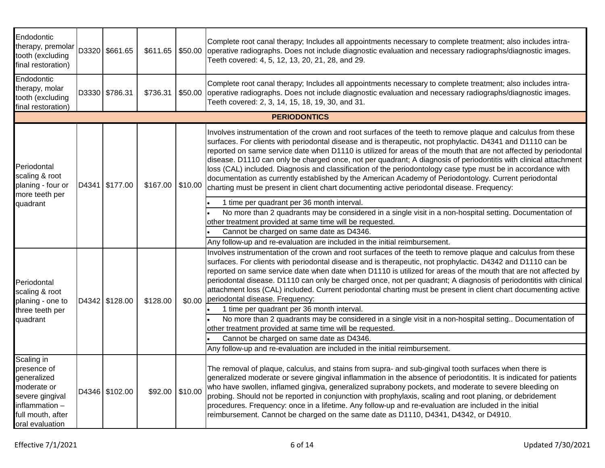| Endodontic<br>therapy, premolar<br>tooth (excluding<br>final restoration)                                                              |  | D3320 \$661.65 | \$611.65 |         | Complete root canal therapy; Includes all appointments necessary to complete treatment; also includes intra-<br>\$50.00 operative radiographs. Does not include diagnostic evaluation and necessary radiographs/diagnostic images.<br>Teeth covered: 4, 5, 12, 13, 20, 21, 28, and 29.                                                                                                                                                                                                                                                                                                                                                                                                                                                                                                       |  |  |  |  |  |  |
|----------------------------------------------------------------------------------------------------------------------------------------|--|----------------|----------|---------|----------------------------------------------------------------------------------------------------------------------------------------------------------------------------------------------------------------------------------------------------------------------------------------------------------------------------------------------------------------------------------------------------------------------------------------------------------------------------------------------------------------------------------------------------------------------------------------------------------------------------------------------------------------------------------------------------------------------------------------------------------------------------------------------|--|--|--|--|--|--|
| Endodontic<br>therapy, molar<br>tooth (excluding<br>final restoration)                                                                 |  | D3330 \$786.31 | \$736.31 |         | Complete root canal therapy; Includes all appointments necessary to complete treatment; also includes intra-<br>\$50.00 operative radiographs. Does not include diagnostic evaluation and necessary radiographs/diagnostic images.<br>Teeth covered: 2, 3, 14, 15, 18, 19, 30, and 31.                                                                                                                                                                                                                                                                                                                                                                                                                                                                                                       |  |  |  |  |  |  |
| <b>PERIODONTICS</b>                                                                                                                    |  |                |          |         |                                                                                                                                                                                                                                                                                                                                                                                                                                                                                                                                                                                                                                                                                                                                                                                              |  |  |  |  |  |  |
| Periodontal<br>scaling & root<br>planing - four or<br>more teeth per                                                                   |  | D4341 \$177.00 | \$167.00 | \$10.00 | Involves instrumentation of the crown and root surfaces of the teeth to remove plaque and calculus from these<br>surfaces. For clients with periodontal disease and is therapeutic, not prophylactic. D4341 and D1110 can be<br>reported on same service date when D1110 is utilized for areas of the mouth that are not affected by periodontal<br>disease. D1110 can only be charged once, not per quadrant; A diagnosis of periodontitis with clinical attachment<br>loss (CAL) included. Diagnosis and classification of the periodontology case type must be in accordance with<br>documentation as currently established by the American Academy of Periodontology. Current periodontal<br>charting must be present in client chart documenting active periodontal disease. Frequency: |  |  |  |  |  |  |
| quadrant                                                                                                                               |  |                |          |         | 1 time per quadrant per 36 month interval.                                                                                                                                                                                                                                                                                                                                                                                                                                                                                                                                                                                                                                                                                                                                                   |  |  |  |  |  |  |
|                                                                                                                                        |  |                |          |         | No more than 2 quadrants may be considered in a single visit in a non-hospital setting. Documentation of<br>other treatment provided at same time will be requested.                                                                                                                                                                                                                                                                                                                                                                                                                                                                                                                                                                                                                         |  |  |  |  |  |  |
|                                                                                                                                        |  |                |          |         | Cannot be charged on same date as D4346.<br>Any follow-up and re-evaluation are included in the initial reimbursement.                                                                                                                                                                                                                                                                                                                                                                                                                                                                                                                                                                                                                                                                       |  |  |  |  |  |  |
| Periodontal<br>scaling & root<br>planing - one to                                                                                      |  | D4342 \$128.00 | \$128.00 | \$0.00  | Involves instrumentation of the crown and root surfaces of the teeth to remove plaque and calculus from these<br>surfaces. For clients with periodontal disease and is therapeutic, not prophylactic. D4342 and D1110 can be<br>reported on same service date when date when D1110 is utilized for areas of the mouth that are not affected by<br>periodontal disease. D1110 can only be charged once, not per quadrant; A diagnosis of periodontitis with clinical<br>attachment loss (CAL) included. Current periodontal charting must be present in client chart documenting active<br>periodontal disease. Frequency:                                                                                                                                                                    |  |  |  |  |  |  |
| three teeth per                                                                                                                        |  |                |          |         | 1 time per quadrant per 36 month interval.                                                                                                                                                                                                                                                                                                                                                                                                                                                                                                                                                                                                                                                                                                                                                   |  |  |  |  |  |  |
| quadrant                                                                                                                               |  |                |          |         | No more than 2 quadrants may be considered in a single visit in a non-hospital setting Documentation of<br>other treatment provided at same time will be requested.                                                                                                                                                                                                                                                                                                                                                                                                                                                                                                                                                                                                                          |  |  |  |  |  |  |
|                                                                                                                                        |  |                |          |         | Cannot be charged on same date as D4346.                                                                                                                                                                                                                                                                                                                                                                                                                                                                                                                                                                                                                                                                                                                                                     |  |  |  |  |  |  |
|                                                                                                                                        |  |                |          |         | Any follow-up and re-evaluation are included in the initial reimbursement.                                                                                                                                                                                                                                                                                                                                                                                                                                                                                                                                                                                                                                                                                                                   |  |  |  |  |  |  |
| Scaling in<br>presence of<br>generalized<br>moderate or<br>severe gingival<br>inflammation $-$<br>full mouth, after<br>oral evaluation |  | D4346 \$102.00 | \$92.00  | \$10.00 | The removal of plaque, calculus, and stains from supra- and sub-gingival tooth surfaces when there is<br>generalized moderate or severe gingival inflammation in the absence of periodontitis. It is indicated for patients<br>who have swollen, inflamed gingiva, generalized suprabony pockets, and moderate to severe bleeding on<br>probing. Should not be reported in conjunction with prophylaxis, scaling and root planing, or debridement<br>procedures. Frequency: once in a lifetime. Any follow-up and re-evaluation are included in the initial<br>reimbursement. Cannot be charged on the same date as D1110, D4341, D4342, or D4910.                                                                                                                                           |  |  |  |  |  |  |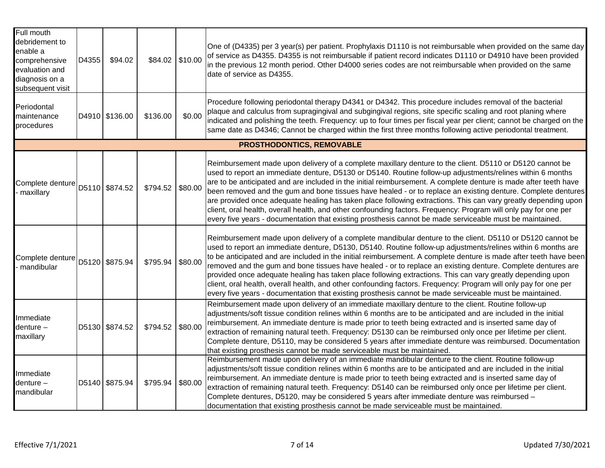| Full mouth<br>debridement to<br>enable a<br>comprehensive<br>evaluation and<br>diagnosis on a<br>subsequent visit | D4355 | \$94.02        | \$84.02 \$10.00 |         | One of (D4335) per 3 year(s) per patient. Prophylaxis D1110 is not reimbursable when provided on the same day<br>of service as D4355. D4355 is not reimbursable if patient record indicates D1110 or D4910 have been provided<br>in the previous 12 month period. Other D4000 series codes are not reimbursable when provided on the same<br>date of service as D4355.                                                                                                                                                                                                                                                                                                                                                                                                                                       |  |  |  |  |  |  |
|-------------------------------------------------------------------------------------------------------------------|-------|----------------|-----------------|---------|--------------------------------------------------------------------------------------------------------------------------------------------------------------------------------------------------------------------------------------------------------------------------------------------------------------------------------------------------------------------------------------------------------------------------------------------------------------------------------------------------------------------------------------------------------------------------------------------------------------------------------------------------------------------------------------------------------------------------------------------------------------------------------------------------------------|--|--|--|--|--|--|
| Periodontal<br>maintenance<br>procedures                                                                          |       | D4910 \$136.00 | \$136.00        | \$0.00  | Procedure following periodontal therapy D4341 or D4342. This procedure includes removal of the bacterial<br>plaque and calculus from supragingival and subgingival regions, site specific scaling and root planing where<br>indicated and polishing the teeth. Frequency: up to four times per fiscal year per client; cannot be charged on the<br>same date as D4346; Cannot be charged within the first three months following active periodontal treatment.                                                                                                                                                                                                                                                                                                                                               |  |  |  |  |  |  |
| PROSTHODONTICS, REMOVABLE                                                                                         |       |                |                 |         |                                                                                                                                                                                                                                                                                                                                                                                                                                                                                                                                                                                                                                                                                                                                                                                                              |  |  |  |  |  |  |
| Complete denture   D5110   \$874.52<br>maxillary                                                                  |       |                | \$794.52        | \$80.00 | Reimbursement made upon delivery of a complete maxillary denture to the client. D5110 or D5120 cannot be<br>used to report an immediate denture, D5130 or D5140. Routine follow-up adjustments/relines within 6 months<br>are to be anticipated and are included in the initial reimbursement. A complete denture is made after teeth have<br>been removed and the gum and bone tissues have healed - or to replace an existing denture. Complete dentures<br>are provided once adequate healing has taken place following extractions. This can vary greatly depending upon<br>client, oral health, overall health, and other confounding factors. Frequency: Program will only pay for one per<br>every five years - documentation that existing prosthesis cannot be made serviceable must be maintained. |  |  |  |  |  |  |
| Complete denture<br>mandibular                                                                                    |       | D5120 \$875.94 | \$795.94        | \$80.00 | Reimbursement made upon delivery of a complete mandibular denture to the client. D5110 or D5120 cannot be<br>used to report an immediate denture, D5130, D5140. Routine follow-up adjustments/relines within 6 months are<br>to be anticipated and are included in the initial reimbursement. A complete denture is made after teeth have been<br>removed and the gum and bone tissues have healed - or to replace an existing denture. Complete dentures are<br>provided once adequate healing has taken place following extractions. This can vary greatly depending upon<br>client, oral health, overall health, and other confounding factors. Frequency: Program will only pay for one per<br>every five years - documentation that existing prosthesis cannot be made serviceable must be maintained.  |  |  |  |  |  |  |
| Immediate<br>$d$ enture $-$<br>maxillary                                                                          |       | D5130 \$874.52 | \$794.52        | \$80.00 | Reimbursement made upon delivery of an immediate maxillary denture to the client. Routine follow-up<br>adjustments/soft tissue condition relines within 6 months are to be anticipated and are included in the initial<br>reimbursement. An immediate denture is made prior to teeth being extracted and is inserted same day of<br>extraction of remaining natural teeth. Frequency: D5130 can be reimbursed only once per lifetime per client.<br>Complete denture, D5110, may be considered 5 years after immediate denture was reimbursed. Documentation<br>that existing prosthesis cannot be made serviceable must be maintained.                                                                                                                                                                      |  |  |  |  |  |  |
| Immediate<br>$d$ enture $-$<br>mandibular                                                                         |       | D5140 \$875.94 | \$795.94        | \$80.00 | Reimbursement made upon delivery of an immediate mandibular denture to the client. Routine follow-up<br>adjustments/soft tissue condition relines within 6 months are to be anticipated and are included in the initial<br>reimbursement. An immediate denture is made prior to teeth being extracted and is inserted same day of<br>extraction of remaining natural teeth. Frequency: D5140 can be reimbursed only once per lifetime per client.<br>Complete dentures, D5120, may be considered 5 years after immediate denture was reimbursed -<br>documentation that existing prosthesis cannot be made serviceable must be maintained.                                                                                                                                                                   |  |  |  |  |  |  |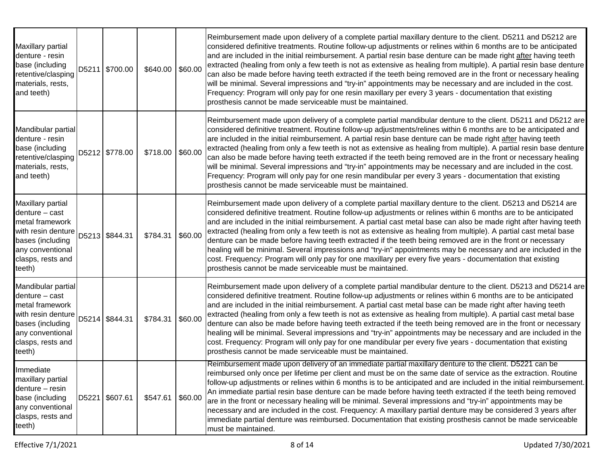| Maxillary partial<br>denture - resin<br>base (including<br>retentive/clasping<br>materials, rests,<br>and teeth)                                         | D5211 \$700.00 | \$640.00 \$60.00 |         | Reimbursement made upon delivery of a complete partial maxillary denture to the client. D5211 and D5212 are<br>considered definitive treatments. Routine follow-up adjustments or relines within 6 months are to be anticipated<br>and are included in the initial reimbursement. A partial resin base denture can be made right after having teeth<br>extracted (healing from only a few teeth is not as extensive as healing from multiple). A partial resin base denture<br>can also be made before having teeth extracted if the teeth being removed are in the front or necessary healing<br>will be minimal. Several impressions and "try-in" appointments may be necessary and are included in the cost.<br>Frequency: Program will only pay for one resin maxillary per every 3 years - documentation that existing<br>prosthesis cannot be made serviceable must be maintained. |
|----------------------------------------------------------------------------------------------------------------------------------------------------------|----------------|------------------|---------|------------------------------------------------------------------------------------------------------------------------------------------------------------------------------------------------------------------------------------------------------------------------------------------------------------------------------------------------------------------------------------------------------------------------------------------------------------------------------------------------------------------------------------------------------------------------------------------------------------------------------------------------------------------------------------------------------------------------------------------------------------------------------------------------------------------------------------------------------------------------------------------|
| Mandibular partial<br>denture - resin<br>base (including<br>retentive/clasping<br>materials, rests,<br>and teeth)                                        | D5212 \$778.00 | \$718.00         | \$60.00 | Reimbursement made upon delivery of a complete partial mandibular denture to the client. D5211 and D5212 are<br>considered definitive treatment. Routine follow-up adjustments/relines within 6 months are to be anticipated and<br>are included in the initial reimbursement. A partial resin base denture can be made right after having teeth<br>extracted (healing from only a few teeth is not as extensive as healing from multiple). A partial resin base denture<br>can also be made before having teeth extracted if the teeth being removed are in the front or necessary healing<br>will be minimal. Several impressions and "try-in" appointments may be necessary and are included in the cost.<br>Frequency: Program will only pay for one resin mandibular per every 3 years - documentation that existing<br>prosthesis cannot be made serviceable must be maintained.   |
| Maxillary partial<br>$d$ enture $-$ cast<br>metal framework<br>with resin denture<br>bases (including<br>any conventional<br>clasps, rests and<br>teeth) | D5213 \$844.31 | \$784.31         | \$60.00 | Reimbursement made upon delivery of a complete partial maxillary denture to the client. D5213 and D5214 are<br>considered definitive treatment. Routine follow-up adjustments or relines within 6 months are to be anticipated<br>and are included in the initial reimbursement. A partial cast metal base can also be made right after having teeth<br>extracted (healing from only a few teeth is not as extensive as healing from multiple). A partial cast metal base<br>denture can be made before having teeth extracted if the teeth being removed are in the front or necessary<br>healing will be minimal. Several impressions and "try-in" appointments may be necessary and are included in the<br>cost. Frequency: Program will only pay for one maxillary per every five years - documentation that existing<br>prosthesis cannot be made serviceable must be maintained.   |
| Mandibular partial<br>$d$ enture – cast<br>metal framework<br>with resin denture<br>bases (including<br>any conventional<br>clasps, rests and<br>teeth)  | D5214 \$844.31 | \$784.31         | \$60.00 | Reimbursement made upon delivery of a complete partial mandibular denture to the client. D5213 and D5214 are<br>considered definitive treatment. Routine follow-up adjustments or relines within 6 months are to be anticipated<br>and are included in the initial reimbursement. A partial cast metal base can be made right after having teeth<br>extracted (healing from only a few teeth is not as extensive as healing from multiple). A partial cast metal base<br>denture can also be made before having teeth extracted if the teeth being removed are in the front or necessary<br>healing will be minimal. Several impressions and "try-in" appointments may be necessary and are included in the<br>cost. Frequency: Program will only pay for one mandibular per every five years - documentation that existing<br>prosthesis cannot be made serviceable must be maintained. |
| Immediate<br>maxillary partial<br>denture - resin<br>base (including<br>any conventional<br>clasps, rests and<br>teeth)                                  | D5221 \$607.61 | \$547.61         | \$60.00 | Reimbursement made upon delivery of an immediate partial maxillary denture to the client. D5221 can be<br>reimbursed only once per lifetime per client and must be on the same date of service as the extraction. Routine<br>follow-up adjustments or relines within 6 months is to be anticipated and are included in the initial reimbursement.<br>An immediate partial resin base denture can be made before having teeth extracted if the teeth being removed<br>are in the front or necessary healing will be minimal. Several impressions and "try-in" appointments may be<br>necessary and are included in the cost. Frequency: A maxillary partial denture may be considered 3 years after<br>immediate partial denture was reimbursed. Documentation that existing prosthesis cannot be made serviceable<br>must be maintained.                                                 |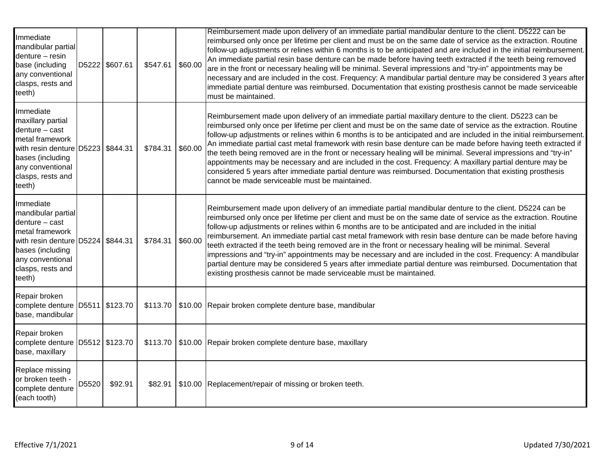| Immediate<br>mandibular partial<br>denture - resin<br>base (including<br>any conventional<br>clasps, rests and<br>teeth)                                                                |       | D5222 \$607.61 | \$547.61 | \$60.00 | Reimbursement made upon delivery of an immediate partial mandibular denture to the client. D5222 can be<br>reimbursed only once per lifetime per client and must be on the same date of service as the extraction. Routine<br>follow-up adjustments or relines within 6 months is to be anticipated and are included in the initial reimbursement.<br>An immediate partial resin base denture can be made before having teeth extracted if the teeth being removed<br>are in the front or necessary healing will be minimal. Several impressions and "try-in" appointments may be<br>necessary and are included in the cost. Frequency: A mandibular partial denture may be considered 3 years after<br>immediate partial denture was reimbursed. Documentation that existing prosthesis cannot be made serviceable<br>must be maintained.                            |
|-----------------------------------------------------------------------------------------------------------------------------------------------------------------------------------------|-------|----------------|----------|---------|-----------------------------------------------------------------------------------------------------------------------------------------------------------------------------------------------------------------------------------------------------------------------------------------------------------------------------------------------------------------------------------------------------------------------------------------------------------------------------------------------------------------------------------------------------------------------------------------------------------------------------------------------------------------------------------------------------------------------------------------------------------------------------------------------------------------------------------------------------------------------|
| Immediate<br>maxillary partial<br>$d$ enture $-$ cast<br>metal framework<br>with resin denture D5223 \$844.31<br>bases (including<br>any conventional<br>clasps, rests and<br>teeth)    |       |                | \$784.31 | \$60.00 | Reimbursement made upon delivery of an immediate partial maxillary denture to the client. D5223 can be<br>reimbursed only once per lifetime per client and must be on the same date of service as the extraction. Routine<br>follow-up adjustments or relines within 6 months is to be anticipated and are included in the initial reimbursement.<br>An immediate partial cast metal framework with resin base denture can be made before having teeth extracted if<br>the teeth being removed are in the front or necessary healing will be minimal. Several impressions and "try-in"<br>appointments may be necessary and are included in the cost. Frequency: A maxillary partial denture may be<br>considered 5 years after immediate partial denture was reimbursed. Documentation that existing prosthesis<br>cannot be made serviceable must be maintained.    |
| Immediate<br>mandibular partial<br>$d$ enture $-$ cast<br>metal framework<br>with resin denture D5224   \$844.31<br>bases (including<br>any conventional<br>clasps, rests and<br>teeth) |       |                | \$784.31 | \$60.00 | Reimbursement made upon delivery of an immediate partial mandibular denture to the client. D5224 can be<br>reimbursed only once per lifetime per client and must be on the same date of service as the extraction. Routine<br>follow-up adjustments or relines within 6 months are to be anticipated and are included in the initial<br>reimbursement. An immediate partial cast metal framework with resin base denture can be made before having<br>teeth extracted if the teeth being removed are in the front or necessary healing will be minimal. Several<br>impressions and "try-in" appointments may be necessary and are included in the cost. Frequency: A mandibular<br>partial denture may be considered 5 years after immediate partial denture was reimbursed. Documentation that<br>existing prosthesis cannot be made serviceable must be maintained. |
| Repair broken<br>complete denture D5511 \$123.70<br>base, mandibular                                                                                                                    |       |                |          |         | \$113.70   \$10.00   Repair broken complete denture base, mandibular                                                                                                                                                                                                                                                                                                                                                                                                                                                                                                                                                                                                                                                                                                                                                                                                  |
| Repair broken<br>complete denture D5512 \$123.70<br>base, maxillary                                                                                                                     |       |                | \$113.70 |         | \$10.00 Repair broken complete denture base, maxillary                                                                                                                                                                                                                                                                                                                                                                                                                                                                                                                                                                                                                                                                                                                                                                                                                |
| Replace missing<br>or broken teeth -<br>complete denture<br>(each tooth)                                                                                                                | D5520 | \$92.91        | \$82.91  |         | \$10.00 Replacement/repair of missing or broken teeth.                                                                                                                                                                                                                                                                                                                                                                                                                                                                                                                                                                                                                                                                                                                                                                                                                |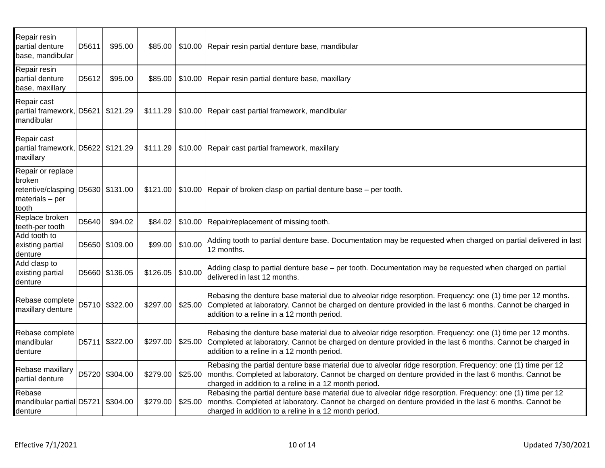| Repair resin<br>partial denture<br>base, mandibular                                          | D5611 | \$95.00        | \$85.00  |         | \$10.00 Repair resin partial denture base, mandibular                                                                                                                                                                                                                          |
|----------------------------------------------------------------------------------------------|-------|----------------|----------|---------|--------------------------------------------------------------------------------------------------------------------------------------------------------------------------------------------------------------------------------------------------------------------------------|
| Repair resin<br>partial denture<br>base, maxillary                                           | D5612 | \$95.00        | \$85.00  |         | \$10.00 Repair resin partial denture base, maxillary                                                                                                                                                                                                                           |
| Repair cast<br>partial framework, D5621   \$121.29<br>mandibular                             |       |                | \$111.29 |         | \$10.00 Repair cast partial framework, mandibular                                                                                                                                                                                                                              |
| Repair cast<br>partial framework, D5622   \$121.29<br>maxillary                              |       |                | \$111.29 |         | \$10.00 Repair cast partial framework, maxillary                                                                                                                                                                                                                               |
| Repair or replace<br>broken<br>retentive/clasping D5630 \$131.00<br>materials - per<br>tooth |       |                | \$121.00 |         | \$10.00 Repair of broken clasp on partial denture base – per tooth.                                                                                                                                                                                                            |
| Replace broken<br>teeth-per tooth                                                            | D5640 | \$94.02        | \$84.02  |         | \$10.00 Repair/replacement of missing tooth.                                                                                                                                                                                                                                   |
| Add tooth to<br>existing partial<br>denture                                                  |       | D5650 \$109.00 | \$99.00  | \$10.00 | Adding tooth to partial denture base. Documentation may be requested when charged on partial delivered in last<br>12 months.                                                                                                                                                   |
| Add clasp to<br>existing partial<br>denture                                                  |       | D5660 \$136.05 | \$126.05 | \$10.00 | Adding clasp to partial denture base - per tooth. Documentation may be requested when charged on partial<br>delivered in last 12 months.                                                                                                                                       |
| Rebase complete<br>maxillary denture                                                         |       | D5710 \$322.00 | \$297.00 | \$25.00 | Rebasing the denture base material due to alveolar ridge resorption. Frequency: one (1) time per 12 months.<br>Completed at laboratory. Cannot be charged on denture provided in the last 6 months. Cannot be charged in<br>addition to a reline in a 12 month period.         |
| Rebase complete<br>mandibular<br>denture                                                     |       | D5711 \$322.00 | \$297.00 | \$25.00 | Rebasing the denture base material due to alveolar ridge resorption. Frequency: one (1) time per 12 months.<br>Completed at laboratory. Cannot be charged on denture provided in the last 6 months. Cannot be charged in<br>addition to a reline in a 12 month period.         |
| Rebase maxillary<br>partial denture                                                          |       | D5720 \$304.00 | \$279.00 | \$25.00 | Rebasing the partial denture base material due to alveolar ridge resorption. Frequency: one (1) time per 12<br>months. Completed at laboratory. Cannot be charged on denture provided in the last 6 months. Cannot be<br>charged in addition to a reline in a 12 month period. |
| Rebase<br>mandibular partial D5721<br>denture                                                |       | \$304.00       | \$279.00 | \$25.00 | Rebasing the partial denture base material due to alveolar ridge resorption. Frequency: one (1) time per 12<br>months. Completed at laboratory. Cannot be charged on denture provided in the last 6 months. Cannot be<br>charged in addition to a reline in a 12 month period. |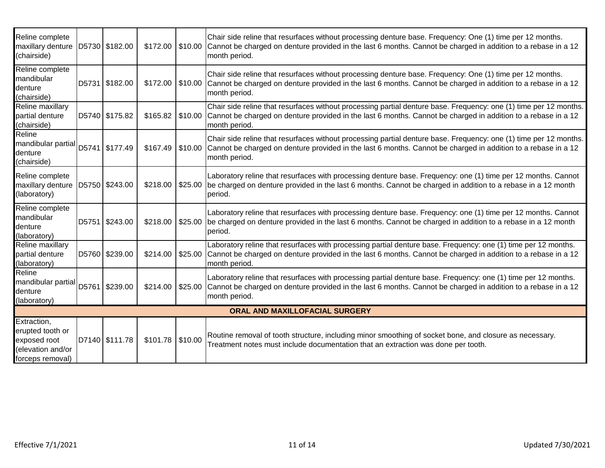| Reline complete<br>maxillary denture<br>(chairside)                                      | D5730 \$182.00 |                    |         | Chair side reline that resurfaces without processing denture base. Frequency: One (1) time per 12 months.<br>\$172.00 \$10.00 Cannot be charged on denture provided in the last 6 months. Cannot be charged in addition to a rebase in a 12<br>month period. |
|------------------------------------------------------------------------------------------|----------------|--------------------|---------|--------------------------------------------------------------------------------------------------------------------------------------------------------------------------------------------------------------------------------------------------------------|
| Reline complete<br>mandibular<br>denture<br>(chairside)                                  | D5731 \$182.00 |                    |         | Chair side reline that resurfaces without processing denture base. Frequency: One (1) time per 12 months.<br>\$172.00 \$10.00 Cannot be charged on denture provided in the last 6 months. Cannot be charged in addition to a rebase in a 12<br>month period. |
| Reline maxillary<br>partial denture<br>(chairside)                                       | D5740 \$175.82 | \$165.82           | \$10.00 | Chair side reline that resurfaces without processing partial denture base. Frequency: one (1) time per 12 months.<br>Cannot be charged on denture provided in the last 6 months. Cannot be charged in addition to a rebase in a 12<br>month period.          |
| Reline<br>mandibular partial D5741   \$177.49<br>denture<br>(chairside)                  |                | \$167.49           |         | Chair side reline that resurfaces without processing partial denture base. Frequency: one (1) time per 12 months.<br>\$10.00 Cannot be charged on denture provided in the last 6 months. Cannot be charged in addition to a rebase in a 12<br>month period.  |
| Reline complete<br>maxillary denture<br>(laboratory)                                     | D5750 \$243.00 | \$218.00           |         | Laboratory reline that resurfaces with processing denture base. Frequency: one (1) time per 12 months. Cannot<br>\$25.00 be charged on denture provided in the last 6 months. Cannot be charged in addition to a rebase in a 12 month<br>period.             |
| Reline complete<br>mandibular<br>denture<br>(laboratory)                                 | D5751 \$243.00 | \$218.00           |         | Laboratory reline that resurfaces with processing denture base. Frequency: one (1) time per 12 months. Cannot<br>\$25.00 be charged on denture provided in the last 6 months. Cannot be charged in addition to a rebase in a 12 month<br>period.             |
| Reline maxillary<br>partial denture<br>(laboratory)                                      | D5760 \$239.00 | \$214.00           |         | Laboratory reline that resurfaces with processing partial denture base. Frequency: one (1) time per 12 months.<br>\$25.00 Cannot be charged on denture provided in the last 6 months. Cannot be charged in addition to a rebase in a 12<br>month period.     |
| Reline<br>mandibular partial D5761   \$239.00<br>denture<br>(laboratory)                 |                | \$214.00           |         | Laboratory reline that resurfaces with processing partial denture base. Frequency: one (1) time per 12 months.<br>\$25.00 Cannot be charged on denture provided in the last 6 months. Cannot be charged in addition to a rebase in a 12<br>month period.     |
|                                                                                          |                |                    |         | ORAL AND MAXILLOFACIAL SURGERY                                                                                                                                                                                                                               |
| Extraction,<br>erupted tooth or<br>exposed root<br>(elevation and/or<br>forceps removal) | D7140 \$111.78 | $$101.78$ \\$10.00 |         | Routine removal of tooth structure, including minor smoothing of socket bone, and closure as necessary.<br>Treatment notes must include documentation that an extraction was done per tooth.                                                                 |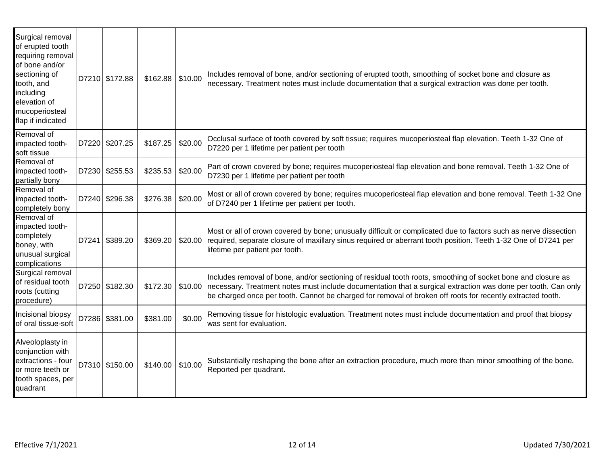| Surgical removal<br>of erupted tooth<br>requiring removal<br>of bone and/or<br>sectioning of<br>tooth, and<br>including<br>elevation of<br>mucoperiosteal<br>flap if indicated | D7210 \$172.88 | $$162.88$ \\$10.00 |         | Includes removal of bone, and/or sectioning of erupted tooth, smoothing of socket bone and closure as<br>necessary. Treatment notes must include documentation that a surgical extraction was done per tooth.                                                                                                                               |
|--------------------------------------------------------------------------------------------------------------------------------------------------------------------------------|----------------|--------------------|---------|---------------------------------------------------------------------------------------------------------------------------------------------------------------------------------------------------------------------------------------------------------------------------------------------------------------------------------------------|
| Removal of<br>impacted tooth-<br>soft tissue                                                                                                                                   | D7220 \$207.25 | \$187.25           | \$20.00 | Occlusal surface of tooth covered by soft tissue; requires mucoperiosteal flap elevation. Teeth 1-32 One of<br>D7220 per 1 lifetime per patient per tooth                                                                                                                                                                                   |
| Removal of<br>impacted tooth-<br>partially bony                                                                                                                                | D7230 \$255.53 | \$235.53           | \$20.00 | Part of crown covered by bone; requires mucoperiosteal flap elevation and bone removal. Teeth 1-32 One of<br>D7230 per 1 lifetime per patient per tooth                                                                                                                                                                                     |
| Removal of<br>impacted tooth-<br>completely bony                                                                                                                               | D7240 \$296.38 | \$276.38           | \$20.00 | Most or all of crown covered by bone; requires mucoperiosteal flap elevation and bone removal. Teeth 1-32 One<br>of D7240 per 1 lifetime per patient per tooth.                                                                                                                                                                             |
| Removal of<br>impacted tooth-<br>completely<br>boney, with<br>unusual surgical<br>complications                                                                                | D7241 \$389.20 | \$369.20           | \$20.00 | Most or all of crown covered by bone; unusually difficult or complicated due to factors such as nerve dissection<br>required, separate closure of maxillary sinus required or aberrant tooth position. Teeth 1-32 One of D7241 per<br>lifetime per patient per tooth.                                                                       |
| Surgical removal<br>of residual tooth<br>roots (cutting<br>procedure)                                                                                                          | D7250 \$182.30 | \$172.30           | \$10.00 | Includes removal of bone, and/or sectioning of residual tooth roots, smoothing of socket bone and closure as<br>necessary. Treatment notes must include documentation that a surgical extraction was done per tooth. Can only<br>be charged once per tooth. Cannot be charged for removal of broken off roots for recently extracted tooth. |
| Incisional biopsy<br>of oral tissue-soft                                                                                                                                       | D7286 \$381.00 | \$381.00           | \$0.00  | Removing tissue for histologic evaluation. Treatment notes must include documentation and proof that biopsy<br>was sent for evaluation.                                                                                                                                                                                                     |
| Alveoloplasty in<br>conjunction with<br>extractions - four<br>or more teeth or<br>tooth spaces, per<br>quadrant                                                                | D7310 \$150.00 | \$140.00           | \$10.00 | Substantially reshaping the bone after an extraction procedure, much more than minor smoothing of the bone.<br>Reported per quadrant.                                                                                                                                                                                                       |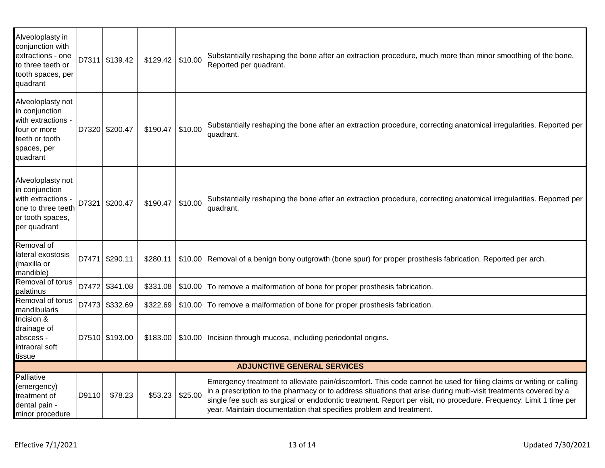| Alveoloplasty in<br>conjunction with<br>extractions - one<br>to three teeth or<br>tooth spaces, per<br>quadrant        |                                    | D7311 \$139.42 | \$129.42 | \$10.00 | Substantially reshaping the bone after an extraction procedure, much more than minor smoothing of the bone.<br>Reported per quadrant.                                                                                                                                                                                                                                                                                            |  |  |  |
|------------------------------------------------------------------------------------------------------------------------|------------------------------------|----------------|----------|---------|----------------------------------------------------------------------------------------------------------------------------------------------------------------------------------------------------------------------------------------------------------------------------------------------------------------------------------------------------------------------------------------------------------------------------------|--|--|--|
| Alveoloplasty not<br>in conjunction<br>with extractions -<br>four or more<br>teeth or tooth<br>spaces, per<br>quadrant |                                    | D7320 \$200.47 | \$190.47 | \$10.00 | Substantially reshaping the bone after an extraction procedure, correcting anatomical irregularities. Reported per<br>quadrant.                                                                                                                                                                                                                                                                                                  |  |  |  |
| Alveoloplasty not<br>in conjunction<br>with extractions<br>one to three teeth<br>or tooth spaces,<br>per quadrant      | D7321                              | \$200.47       | \$190.47 | \$10.00 | Substantially reshaping the bone after an extraction procedure, correcting anatomical irregularities. Reported per<br>quadrant.                                                                                                                                                                                                                                                                                                  |  |  |  |
| Removal of<br>lateral exostosis<br>(maxilla or<br>mandible)                                                            |                                    | D7471 \$290.11 | \$280.11 |         | \$10.00 Removal of a benign bony outgrowth (bone spur) for proper prosthesis fabrication. Reported per arch.                                                                                                                                                                                                                                                                                                                     |  |  |  |
| Removal of torus<br>palatinus                                                                                          |                                    | D7472 \$341.08 | \$331.08 |         | \$10.00 To remove a malformation of bone for proper prosthesis fabrication.                                                                                                                                                                                                                                                                                                                                                      |  |  |  |
| Removal of torus<br>mandibularis                                                                                       |                                    | D7473 \$332.69 | \$322.69 |         | \$10.00 To remove a malformation of bone for proper prosthesis fabrication.                                                                                                                                                                                                                                                                                                                                                      |  |  |  |
| Incision &<br>drainage of<br>abscess -<br>intraoral soft<br>tissue                                                     |                                    | D7510 \$193.00 | \$183.00 |         | \$10.00 Incision through mucosa, including periodontal origins.                                                                                                                                                                                                                                                                                                                                                                  |  |  |  |
|                                                                                                                        | <b>ADJUNCTIVE GENERAL SERVICES</b> |                |          |         |                                                                                                                                                                                                                                                                                                                                                                                                                                  |  |  |  |
| Palliative<br>(emergency)<br>treatment of<br>dental pain -<br>minor procedure                                          | D9110                              | \$78.23        | \$53.23  | \$25.00 | Emergency treatment to alleviate pain/discomfort. This code cannot be used for filing claims or writing or calling<br>in a prescription to the pharmacy or to address situations that arise during multi-visit treatments covered by a<br>single fee such as surgical or endodontic treatment. Report per visit, no procedure. Frequency: Limit 1 time per<br>year. Maintain documentation that specifies problem and treatment. |  |  |  |